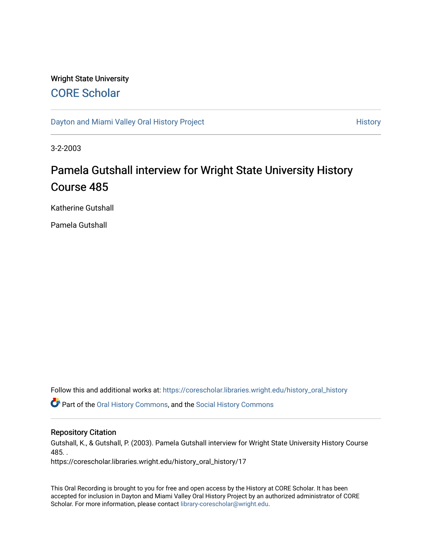# Wright State University [CORE Scholar](https://corescholar.libraries.wright.edu/)

[Dayton and Miami Valley Oral History Project](https://corescholar.libraries.wright.edu/history_oral_history) **History** History

3-2-2003

# Pamela Gutshall interview for Wright State University History Course 485

Katherine Gutshall

Pamela Gutshall

Follow this and additional works at: [https://corescholar.libraries.wright.edu/history\\_oral\\_history](https://corescholar.libraries.wright.edu/history_oral_history?utm_source=corescholar.libraries.wright.edu%2Fhistory_oral_history%2F17&utm_medium=PDF&utm_campaign=PDFCoverPages) 

Part of the [Oral History Commons](http://network.bepress.com/hgg/discipline/1195?utm_source=corescholar.libraries.wright.edu%2Fhistory_oral_history%2F17&utm_medium=PDF&utm_campaign=PDFCoverPages), and the [Social History Commons](http://network.bepress.com/hgg/discipline/506?utm_source=corescholar.libraries.wright.edu%2Fhistory_oral_history%2F17&utm_medium=PDF&utm_campaign=PDFCoverPages)

#### Repository Citation

Gutshall, K., & Gutshall, P. (2003). Pamela Gutshall interview for Wright State University History Course 485. .

https://corescholar.libraries.wright.edu/history\_oral\_history/17

This Oral Recording is brought to you for free and open access by the History at CORE Scholar. It has been accepted for inclusion in Dayton and Miami Valley Oral History Project by an authorized administrator of CORE Scholar. For more information, please contact [library-corescholar@wright.edu](mailto:library-corescholar@wright.edu).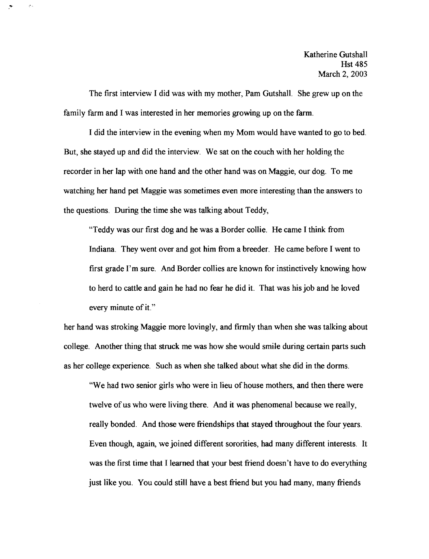The first interview I did was with my mother, Pam Gutshall. She grew up on the family farm and I was interested in her memories growing up on the farm.

 $\sigma$  .

I did the interview in the evening when my Mom would have wanted to go to bed. But, she stayed up and did the interview. We sat on the couch with her holding the recorder in her lap with one hand and the other hand was on Maggie, our dog. To me watching her hand pet Maggie was sometimes even more interesting than the answers to the questions. During the time she was talking about Teddy,

"Teddy was our first dog and he was a Border collie. He came I think from Indiana. They went over and got him from a breeder. He came before I went to first grade I'm sure. And Border collies are known for instinctively knowing how to herd to cattle and gain he had no fear he did it. That was his job and he loved every minute of it."

her hand was stroking Maggie more lovingly, and firmly than when she was talking about college. Another thing that struck me was how she would smile during certain parts such as her college experience. Such as when she talked about what she did in the dorms.

"We had two senior girls who were in lieu of house mothers, and then there were twelve of us who were living there. And it was phenomenal because we really, really bonded. And those were friendships that stayed throughout the four years. Even though, again, we joined different sororities, had many different interests. It was the first time that I learned that your best friend doesn't have to do everything just like you. You could still have a best friend but you had many, many friends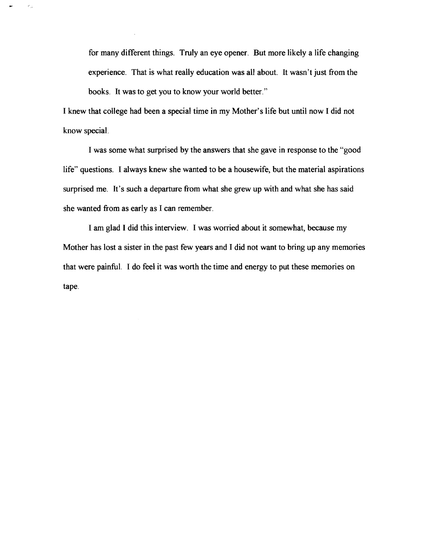for many different things. Truly an eye opener. But more likely a life changing experience. That is what really education was all about. It wasn't just from the books. It was to get you to know your world better."

I knew that college had been a special time in my Mother's life but until now I did not know special.

 $\sigma_{12}$ 

I was some what surprised by the answers that she gave in response to the "good life" questions. I always knew she wanted to be a housewife, but the material aspirations surprised me. It's such a departure from what she grew up with and what she has said she wanted from as early as I can remember.

I am glad I did this interview. I was worried about it somewhat, because my Mother has lost a sister in the past few years and I did not want to bring up any memories that were painfuL I do feel it was worth the time and energy to put these memories on tape.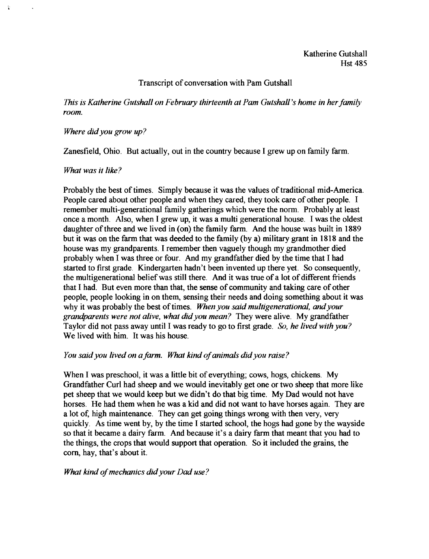# Transcript of conversation with Pam Gutshall

*This is Katherine Gutshall on February thirteenth at Pam Gutshall's home in her family room.* 

#### *Where didyou grow up?*

Zanesfield, Ohio. But actually, out in the country because I grew up on family farm.

# *What was it like?*

Probably the best of times. Simply because it was the values of traditional mid-America. People cared about other people and when they cared, they took care of other people. I remember multi-generational family gatherings which were the norm. Probably at least once a month. Also, when I grew up, it was a multi generational house. I was the oldest daughter of three and we lived in (on) the family farm. And the house was built in 1889 but it was on the farm that was deeded to the family (by a) military grant in 1818 and the house was my grandparents. I remember then vaguely though my grandmother died probably when I was three or four. And my grandfather died by the time that I had started to first grade. Kindergarten hadn't been invented up there yet. So consequently, the multigenerational belief was still there. And it was true of a lot of different friends that I had. But even more than that, the sense of community and taking care of other people, people looking in on them, sensing their needs and doing something about it was why it was probably the best of times. When you said multigenerational, and your *grandparents were not alive, what didyou mean?* They were alive. My grandfather Taylor did not pass away until I was ready to go to first grade. *So, he lived with you?*  We lived with him. It was his house.

# *You said you lived on a farm. What kind ofanimals didyou raise?*

When I was preschool, it was a little bit of everything; cows, hogs, chickens. My Grandfather Curl had sheep and we would inevitably get one or two sheep that more like pet sheep that we would keep but we didn't do that big time. My Dad would not have horses. He had them when he was a kid and did not want to have horses again. They are a lot of, high maintenance. They can get going things wrong with then very, very quickly. As time went by, by the time I started school, the hogs had gone by the wayside so that it became a dairy farm. And because it's a dairy farm that meant that you had to the things, the crops that would support that operation. So it included the grains, the corn, hay, that's about it.

#### *What kind ofmechanics didyour Dad use?*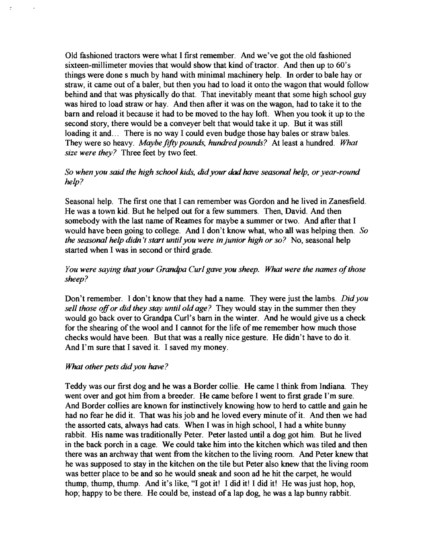Old fashioned tractors were what I first remember. And we've got the old fashioned sixteen-millimeter movies that would show that kind of tractor. And then up to 60's things were done s much by hand with minimal machinery help. In order to bale hay or straw, it came out of a baler, but then you had to load it onto the wagon that would follow behind and that was physically do that. That inevitably meant that some high school guy was hired to load straw or hay. And then after it was on the wagon, had to take it to the barn and reload it because it had to be moved to the hay loft. When you took it up to the second story, there would be a conveyer belt that would take it up. But it was still loading it and... There is no way I could even budge those hay bales or straw bales. They were so heavy. *Maybe fifty pounds, hundred pounds?* At least a hundred. *What size were they?* Three feet by two feet.

# *So when you said the high school kids, didyour dad have seasonal help, or year-round help?*

Seasonal help. The first one that I can remember was Gordon and he lived in Zanesfield. He was a town kid. But he helped out for a few summers. Then, David. And then somebody with the last name of Reames for maybe a summer or two. And after that I would have been going to college. And I don't know what, who all was helping then. *So the seasonal help didn't start until you were in junior high or so?* No, seasonal help started when I was in second or third grade.

# *You were saying that your Grandpa Curl gave you sheep. What were the names of those sheep?*

Don't remember. I don't know that they had a name. They were just the lambs. *Didyou sell those offor did they stay until oldage?* They would stay in the summer then they would go back over to Grandpa Curl's barn in the winter. And he would give us a check for the shearing of the wool and I cannot for the life of me remember how much those checks would have been. But that was a really nice gesture. He didn't have to do it. And I'm sure that I saved it. I saved my money.

#### *What other pets didyou have?*

Teddy was our first dog and he was a Border collie. He came I think from Indiana. They went over and got him from a breeder. He came before 1 went to first grade I'm sure. And Border collies are known for instinctively knowing how to herd to cattle and gain he had no fear he did it. That was his job and he loved every minute of it. And then we had the assorted cats, always had cats. When I was in high school, 1 had a white bunny rabbit. His name was traditionally Peter. Peter lasted until a dog got him. But he lived in the back porch in a cage. We could take him into the kitchen which was tiled and then there was an archway that went from the kitchen to the living room. And Peter knew that he was supposed to stay in the kitchen on the tile but Peter also knew that the living room was better place to be and so he would sneak and soon ad he hit the carpet, he would thump, thump, thump. And it's like, "I got it! I did it! 1 did it! He was just hop, hop, hop; happy to be there. He could be, instead of a lap dog, he was a lap bunny rabbit.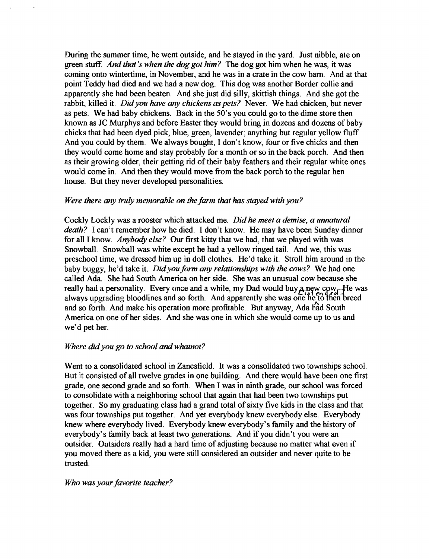During the summer time, he went outside, and he stayed in the yard. Just nibble, ate on green stuff. *And that's when the dog got him?* The dog got him when he was, it was coming onto wintertime, in November, and he was in a crate in the cow barn. And at that point Teddy had died and we had a new dog. This dog was another Border collie and apparently she had been beaten. And she just did silly, skittish things. And she got the rabbit, killed it. *Didyou have any chickens as pets?* Never. We had chicken, but never as pets. We had baby chickens. Back in the 50's you could go to the dime store then known as JC Murphys and before Easter they would bring in dozens and dozens of baby chicks that had been dyed pick, blue, green, lavender; anything but regular yellow fluff. And you could by them. We always bought, I don't know, four or five chicks and then they would come home and stay probably for a month or so in the back porch. And then as their growing older, their getting rid of their baby feathers and their regular white ones would come in. And then they would move from the back porch to the regular hen house. But they never developed personalities.

#### *Were there any truly memorable on the farm that has stayed with you?*

Cockly Lockly was a rooster which attacked me. *Did he meet a demise*, a unnatural *death?* I can't remember how he died. I don't know. He may have been Sunday dinner for all I know. *Anybody else?* Our first kitty that we had, that we played with was Snowball. Snowball was white except he had a yellow ringed tail. And we, this was preschool time, we dressed him up in doll clothes. He'd take it. Stroll him around in the baby buggy, he'd take it. *Did you form any relationships with the cows*? We had one called Ada. She had South America on her side. She was an unusual cow because she really had a personality. Every once and a while, my Dad would buy  $a_n$  new cow<sub>1</sub>—He was always upgrading bloodlines and so forth. And apparently she was one he to then breed and so forth. And make his operation more profitable. But anyway, Ada had South America on one of her sides. And she was one in which she would come up to us and we'd pet her.

#### *Where did you go to school and whatnot?*

Went to a consolidated school in Zanesfield. It was a consolidated two townships school. But it consisted of all twelve grades in one building. And there would have been one first grade, one second grade and so forth. When I was in ninth grade, our school was forced to consolidate with a neighboring school that again that had been two townships put together. So my graduating class had a grand total ofsixty five kids in the class and that was four townships put together. And yet everybody knew everybody else. Everybody knew where everybody lived. Everybody knew everybody's family and the history of everybody's family back at least two generations. And if you didn't you were an outsider. Outsiders really had a hard time of adjusting because no matter what even if you moved there as a kid, you were still considered an outsider and never quite to be trusted.

#### *Who was your favorite teacher?*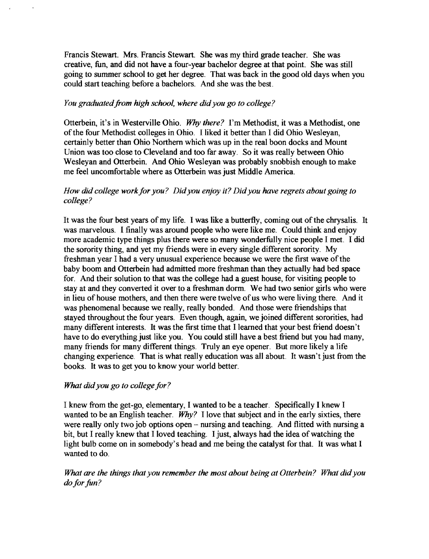Francis Stewart. Mrs. Francis Stewart. She was my third grade teacher. She was creative, fun, and did not have a four-year bachelor degree at that point. She was still going to summer school to get her degree. That was back in the good old days when you could start teaching before a bachelors. And she was the best.

# *You graduated from high school, where didyou go to college?*

Otterbein, it's in Westerville Ohio. *Why there?* I'm Methodist, it was a Methodist, one ofthe four Methodist colleges in Ohio. I liked it better than I did Ohio Wesleyan, certainly better than Ohio Northern which was up in the real boon docks and Mount Union was too close to Cleveland and too far away. So it was really between Ohio Wesleyan and Otterbein. And Ohio Wesleyan was probably snobbish enough to make me feel uncomfortable where as Otterbein was just Middle America.

# *How did college work for you? Did you enjoy it? Did you have regrets about going to college?*

It was the four best years of my life. I was like a butterfly, coming out of the chrysalis. It was marvelous. I finally was around people who were like me. Could think and enjoy more academic type things plus there were so many wonderfully nice people I met. I did the sorority thing, and yet my friends were in every single different sorority. My freshman year I had a very unusual experience because we were the first wave of the baby boom and Otterbein had admitted more freshman than they actually had bed space for. And their solution to that was the college had a guest house, for visiting people to stay at and they converted it over to a freshman dorm. We had two senior girls who were in lieu of house mothers, and then there were twelve of us who were living there. And it was phenomenal because we really, really bonded. And those were friendships that stayed throughout the four years. Even though, again, we joined different sororities, had many different interests. It was the first time that I learned that your best friend doesn't have to do everything just like you. You could still have a best friend but you had many, many friends for many different things. Truly an eye opener. But more likely a life changing experience. That is what really education was all about. It wasn't just from the books. It was to get you to know your world better.

# *What didyou go to college for?*

I knew from the get-go, elementary, I wanted to be a teacher. Specifically I knew I wanted to be an English teacher. *Why?* I love that subject and in the early sixties, there were really only two job options open - nursing and teaching. And flitted with nursing a bit, but I really knew that I loved teaching. I just, always had the idea of watching the light bulb come on in somebody's head and me being the catalyst for that. It was what I wanted to do.

*What are the things that you remember the most about being at Otterbein? What didyou*  do for fun?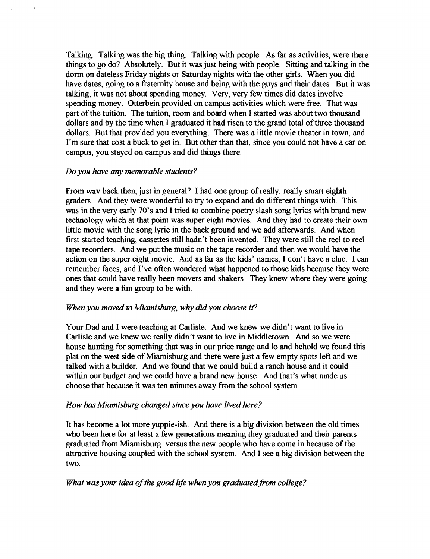Talking. Talking was the big thing. Talking with people. As far as activities, were there things to go do? Absolutely. But it was just being with people. Sitting and talking in the dorm on dateless Friday nights or Saturday nights with the other girls. When you did have dates, going to a fraternity house and being with the guys and their dates. But it was talking, it was not about spending money. Very, very few times did dates involve spending money. Otterbein provided on campus activities which were free. That was part of the tuition. The tuition, room and board when I started was about two thousand dollars and by the time when I graduated it had risen to the grand total of three thousand dollars. But that provided you everything. There was a little movie theater in town, and I'm sure that cost a buck to get in. But other than that, since you could not have a car on campus, you stayed on campus and did things there.

# *Do you have* any *memorable students?*

From way back then, just in general? I had one group of really, really smart eighth graders. And they were wonderful to try to expand and do different things with. This was in the very early 70's and I tried to combine poetry slash song lyrics with brand new technology which at that point was super eight movies. And they had to create their own little movie with the song lyric in the back ground and we add afterwards. And when first started teaching, cassettes still hadn't been invented. They were still the reel to reel tape recorders. And we put the music on the tape recorder and then we would have the action on the super eight movie. And as far as the kids' names, I don't have a clue. I can remember faces, and I've often wondered what happened to those kids because they were ones that could have really been movers and shakers. They knew where they were going and they were a fun group to be with.

#### *When you moved to Miamisburg, why did you choose it?*

Your Dad and I were teaching at Carlisle. And we knew we didn't want to live in Carlisle and we knew we really didn't want to live in Middletown. And so we were house hunting for something that was in our price range and 10 and behold we found this plat on the west side of Miamisburg and there were just a few empty spots left and we talked with a builder. And we found that we could build a ranch house and it could within our budget and we could have a brand new house. And that's what made us choose that because it was ten minutes away from the school system.

#### *How has Miamisburg changed since you have lived here?*

It has become a lot more yuppie-ish. And there is a big division between the old times who been here for at least a few generations meaning they graduated and their parents graduated from Miamisburg versus the new people who have come in because of the attractive housing coupled with the school system. And I see a big division between the two.

#### *What was your idea of the good life when you graduated from college?*